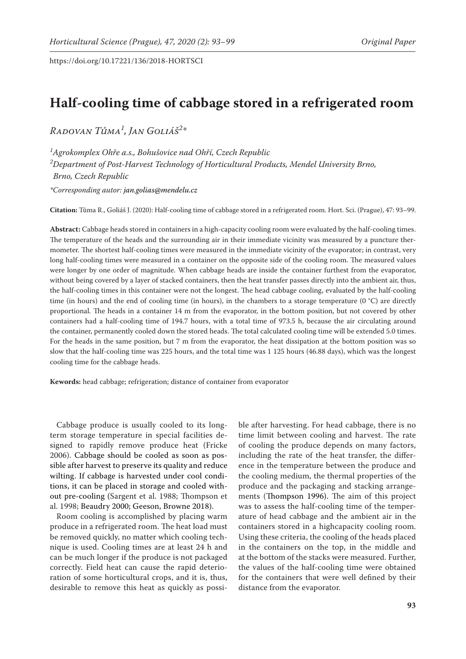# **Half-cooling time of cabbage stored in a refrigerated room**

*Radovan Tůma1 , Jan Goliáš<sup>2</sup> \**

*1 Agrokomplex Ohře a.s., Bohušovice nad Ohří, Czech Republic 2 Department of Post-Harvest Technology of Horticultural Products, Mendel University Brno, Brno, Czech Republic*

*\*Corresponding autor: jan.golias@mendelu.cz*

**Citation:** Tůma R., Goliáš J. (2020): Half-cooling time of cabbage stored in a refrigerated room. Hort. Sci. (Prague), 47: 93–99.

**Abstract:** Cabbage heads stored in containers in a high-capacity cooling room were evaluated by the half-cooling times. The temperature of the heads and the surrounding air in their immediate vicinity was measured by a puncture thermometer. The shortest half-cooling times were measured in the immediate vicinity of the evaporator; in contrast, very long half-cooling times were measured in a container on the opposite side of the cooling room. The measured values were longer by one order of magnitude. When cabbage heads are inside the container furthest from the evaporator, without being covered by a layer of stacked containers, then the heat transfer passes directly into the ambient air, thus, the half-cooling times in this container were not the longest. The head cabbage cooling, evaluated by the half-cooling time (in hours) and the end of cooling time (in hours), in the chambers to a storage temperature (0 °C) are directly proportional. The heads in a container 14 m from the evaporator, in the bottom position, but not covered by other containers had a half-cooling time of 194.7 hours, with a total time of 973.5 h, because the air circulating around the container, permanently cooled down the stored heads. The total calculated cooling time will be extended 5.0 times. For the heads in the same position, but 7 m from the evaporator, the heat dissipation at the bottom position was so slow that the half-cooling time was 225 hours, and the total time was 1 125 hours (46.88 days), which was the longest cooling time for the cabbage heads.

**Kewords:** head cabbage; refrigeration; distance of container from evaporator

Cabbage produce is usually cooled to its longterm storage temperature in special facilities designed to rapidly remove produce heat (Fricke 2006). Cabbage should be cooled as soon as possible after harvest to preserve its quality and reduce wilting. If cabbage is harvested under cool conditions, it can be placed in storage and cooled without pre-cooling (Sargent et al. 1988; Thompson et al. 1998; Beaudry 2000; Geeson, Browne 2018).

Room cooling is accomplished by placing warm produce in a refrigerated room. The heat load must be removed quickly, no matter which cooling technique is used. Cooling times are at least 24 h and can be much longer if the produce is not packaged correctly. Field heat can cause the rapid deterioration of some horticultural crops, and it is, thus, desirable to remove this heat as quickly as possi-

ble after harvesting. For head cabbage, there is no time limit between cooling and harvest. The rate of cooling the produce depends on many factors, including the rate of the heat transfer, the difference in the temperature between the produce and the cooling medium, the thermal properties of the produce and the packaging and stacking arrangements (Thompson 1996). The aim of this project was to assess the half-cooling time of the temperature of head cabbage and the ambient air in the containers stored in a highcapacity cooling room. Using these criteria, the cooling of the heads placed in the containers on the top, in the middle and at the bottom of the stacks were measured. Further, the values of the half-cooling time were obtained for the containers that were well defined by their distance from the evaporator.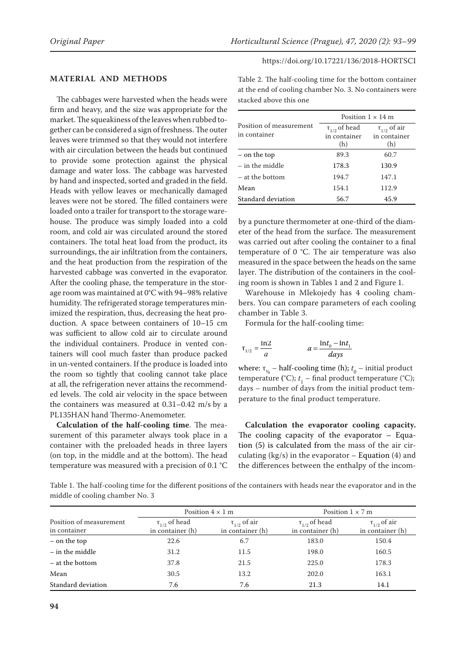# **MATERIAL AND METHODS**

The cabbages were harvested when the heads were firm and heavy, and the size was appropriate for the market. The squeakiness of the leaves when rubbed together can be considered a sign of freshness. The outer leaves were trimmed so that they would not interfere with air circulation between the heads but continued to provide some protection against the physical damage and water loss. The cabbage was harvested by hand and inspected, sorted and graded in the field. Heads with yellow leaves or mechanically damaged leaves were not be stored. The filled containers were loaded onto a trailer for transport to the storage warehouse. The produce was simply loaded into a cold room, and cold air was circulated around the stored containers. The total heat load from the product, its surroundings, the air infiltration from the containers, and the heat production from the respiration of the harvested cabbage was converted in the evaporator. After the cooling phase, the temperature in the storage room was maintained at 0°C with 94–98% relative humidity. The refrigerated storage temperatures minimized the respiration, thus, decreasing the heat production. A space between containers of 10–15 cm was sufficient to allow cold air to circulate around the individual containers. Produce in vented containers will cool much faster than produce packed in un-vented containers. If the produce is loaded into the room so tightly that cooling cannot take place at all, the refrigeration never attains the recommended levels. The cold air velocity in the space between the containers was measured at 0.31–0.42 m/s by a PL135HAN hand Thermo-Anemometer.

**Calculation of the half-cooling time**. The measurement of this parameter always took place in a container with the preloaded heads in three layers (on top, in the middle and at the bottom). The head temperature was measured with a precision of 0.1 °C Table 2. The half-cooling time for the bottom container at the end of cooling chamber No. 3. No containers were stacked above this one

|                                         | Position $1 \times 14$ m                                   |                                            |  |
|-----------------------------------------|------------------------------------------------------------|--------------------------------------------|--|
| Position of measurement<br>in container | $\boldsymbol{\uptau}_{1/2}$ of head<br>in container<br>(h) | $\tau_{1/2}$ of air<br>in container<br>(h) |  |
| – on the top                            | 89.3                                                       | 60.7                                       |  |
| $-$ in the middle                       | 178.3                                                      | 130.9                                      |  |
| - at the bottom                         | 194.7                                                      | 147.1                                      |  |
| Mean                                    | 154.1                                                      | 112.9                                      |  |
| Standard deviation                      | 56.7                                                       | 45.9                                       |  |

by a puncture thermometer at one-third of the diameter of the head from the surface. The measurement was carried out after cooling the container to a final temperature of  $0$  °C. The air temperature was also measured in the space between the heads on the same layer. The distribution of the containers in the cooling room is shown in Tables 1 and 2 and Figure 1.

Warehouse in Mlekojedy has 4 cooling chambers. You can compare parameters of each cooling chamber in Table 3.

Formula for the half-cooling time:

$$
\tau_{1/2} = \frac{\ln 2}{a}
$$
 
$$
a = \frac{\ln t_0 - \ln t_1}{days}
$$

where:  $\tau_{\gamma_2}$  – half-cooling time (h);  $t_0$  – initial product temperature (°C);  $t_1$  – final product temperature (°C); days – number of days from the initial product temperature to the final product temperature.

**Calculation the evaporator cooling capacity.**  The cooling capacity of the evaporator – Equation (5) is calculated from the mass of the air circulating ( $kg/s$ ) in the evaporator – Equation (4) and the differences between the enthalpy of the incom-

Table 1. The half-cooling time for the different positions of the containers with heads near the evaporator and in the middle of cooling chamber No. 3

|                                         | Position $4 \times 1$ m                  |                                         | Position $1 \times 7$ m                  |                                         |
|-----------------------------------------|------------------------------------------|-----------------------------------------|------------------------------------------|-----------------------------------------|
| Position of measurement<br>in container | $\tau_{1/2}$ of head<br>in container (h) | $\tau_{1/2}$ of air<br>in container (h) | $\tau_{1/2}$ of head<br>in container (h) | $\tau_{1/2}$ of air<br>in container (h) |
| – on the top                            | 22.6                                     | 6.7                                     | 183.0                                    | 150.4                                   |
| $-$ in the middle                       | 31.2                                     | 11.5                                    | 198.0                                    | 160.5                                   |
| - at the bottom                         | 37.8                                     | 21.5                                    | 225.0                                    | 178.3                                   |
| Mean                                    | 30.5                                     | 13.2                                    | 202.0                                    | 163.1                                   |
| Standard deviation                      | 7.6                                      | 7.6                                     | 21.3                                     | 14.1                                    |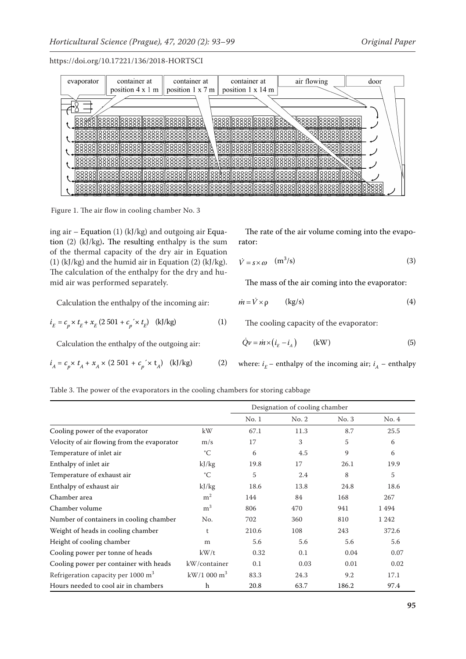

Figure 1. The air flow in cooling chamber No. 3

ing air – Equation (1) (kJ/kg) and outgoing air Equation (2) (kJ/kg)**.** The resulting enthalpy is the sum of the thermal capacity of the dry air in Equation (1) (kJ/kg) and the humid air in Equation (2) (kJ/kg). The calculation of the enthalpy for the dry and humid air was performed separately.

Calculation the enthalpy of the incoming air:

$$
i_E = c_p \times t_E + x_E (2.501 + c_p \times t_E) \quad \text{(kJ/kg)} \tag{1}
$$

Calculation the enthalpy of the outgoing air:

$$
i_A = c_p \times t_A + x_A \times (2.501 + c_p \times t_A) \quad (kJ/kg)
$$
 (2)

The rate of the air volume coming into the evaporator:

$$
\dot{V} = s \times \omega \quad (\text{m}^3/\text{s}) \tag{3}
$$

The mass of the air coming into the evaporator:

$$
\dot{m} = \dot{V} \times \rho \qquad (\text{kg/s}) \tag{4}
$$

The cooling capacity of the evaporator:

$$
\dot{Q}\nu = \dot{m} \times \left(\dot{i}_E - \dot{i}_A\right) \qquad \text{(kW)}\tag{5}
$$

where:  $i_{\overline{k}}$  – enthalpy of the incoming air;  $i_{\overline{A}}$  – enthalpy

Table 3. The power of the evaporators in the cooling chambers for storing cabbage

|                                                | Designation of cooling chamber |       |       |       |         |
|------------------------------------------------|--------------------------------|-------|-------|-------|---------|
|                                                |                                | No.1  | No. 2 | No. 3 | No. 4   |
| Cooling power of the evaporator                | kW                             | 67.1  | 11.3  | 8.7   | 25.5    |
| Velocity of air flowing from the evaporator    | m/s                            | 17    | 3     | 5     | 6       |
| Temperature of inlet air                       | $^{\circ}C$                    | 6     | 4.5   | 9     | 6       |
| Enthalpy of inlet air                          | kJ/kg                          | 19.8  | 17    | 26.1  | 19.9    |
| Temperature of exhaust air                     | $^{\circ}C$                    | 5     | 2.4   | 8     | 5       |
| Enthalpy of exhaust air                        | kJ/kg                          | 18.6  | 13.8  | 24.8  | 18.6    |
| Chamber area                                   | m <sup>2</sup>                 | 144   | 84    | 168   | 267     |
| Chamber volume                                 | m <sup>3</sup>                 | 806   | 470   | 941   | 1494    |
| Number of containers in cooling chamber        | No.                            | 702   | 360   | 810   | 1 2 4 2 |
| Weight of heads in cooling chamber             | t                              | 210.6 | 108   | 243   | 372.6   |
| Height of cooling chamber                      | m                              | 5.6   | 5.6   | 5.6   | 5.6     |
| Cooling power per tonne of heads               | kW/t                           | 0.32  | 0.1   | 0.04  | 0.07    |
| Cooling power per container with heads         | kW/container                   | 0.1   | 0.03  | 0.01  | 0.02    |
| Refrigeration capacity per 1000 m <sup>3</sup> | $kW/1000 m^3$                  | 83.3  | 24.3  | 9.2   | 17.1    |
| Hours needed to cool air in chambers           | h                              | 20.8  | 63.7  | 186.2 | 97.4    |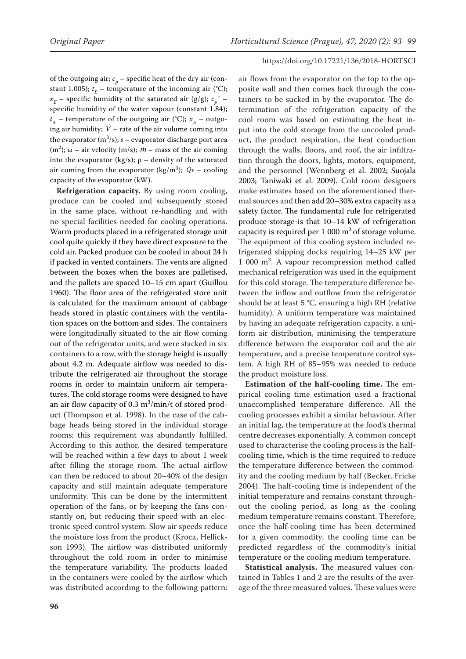of the outgoing air;  $c_p$  – specific heat of the dry air (constant 1.005);  $t_{E}$  – temperature of the incoming air (°C);  $x_E$  – specific humidity of the saturated air (g/g);  $c_p^{\gamma}$  – specific humidity of the water vapour (constant 1.84);  $t_{A}$  – temperature of the outgoing air (°C);  $x_{A}$  – outgoing air humidity;  $\dot{V}$  – rate of the air volume coming into the evaporator  $(m^3/s)$ ;  $s$  – evaporator discharge port area (m<sup>2</sup>); ω – air velocity (m/s);  $\dot{m}$  – mass of the air coming into the evaporator (kg/s);  $\rho$  – density of the saturated air coming from the evaporator (kg/m<sup>3</sup>);  $\dot{Q}v$  – cooling capacity of the evaporator (kW).

**Refrigeration capacity.** By using room cooling, produce can be cooled and subsequently stored in the same place, without re-handling and with no special facilities needed for cooling operations. Warm products placed in a refrigerated storage unit cool quite quickly if they have direct exposure to the cold air. Packed produce can be cooled in about 24 h if packed in vented containers. The vents are aligned between the boxes when the boxes are palletised, and the pallets are spaced 10–15 cm apart (Guillou 1960). The floor area of the refrigerated store unit is calculated for the maximum amount of cabbage heads stored in plastic containers with the ventilation spaces on the bottom and sides. The containers were longitudinally situated to the air flow coming out of the refrigerator units, and were stacked in six containers to a row, with the storage height is usually about 4.2 m. Adequate airflow was needed to distribute the refrigerated air throughout the storage rooms in order to maintain uniform air temperatures. The cold storage rooms were designed to have an air flow capacity of  $0.3 \text{ m}^3/\text{min/t}$  of stored product (Thompson et al. 1998). In the case of the cabbage heads being stored in the individual storage rooms; this requirement was abundantly fulfilled. According to this author, the desired temperature will be reached within a few days to about 1 week after filling the storage room. The actual airflow can then be reduced to about 20–40% of the design capacity and still maintain adequate temperature uniformity. This can be done by the intermittent operation of the fans, or by keeping the fans constantly on, but reducing their speed with an electronic speed control system. Slow air speeds reduce the moisture loss from the product (Kroca, Hellickson 1993). The airflow was distributed uniformly throughout the cold room in order to minimise the temperature variability. The products loaded in the containers were cooled by the airflow which was distributed according to the following pattern:

air flows from the evaporator on the top to the opposite wall and then comes back through the containers to be sucked in by the evaporator. The determination of the refrigeration capacity of the cool room was based on estimating the heat input into the cold storage from the uncooled product, the product respiration, the heat conduction through the walls, floors, and roof, the air infiltration through the doors, lights, motors, equipment, and the personnel (Wennberg et al. 2002; Suojala 2003; Taniwaki et al. 2009). Cold room designers make estimates based on the aforementioned thermal sources and then add 20–30% extra capacity as a safety factor. The fundamental rule for refrigerated produce storage is that 10–14 kW of refrigeration capacity is required per  $1000 \text{ m}^3$  of storage volume. The equipment of this cooling system included refrigerated shipping docks requiring 14–25 kW per 1 000 m<sup>3</sup>. A vapour recompression method called mechanical refrigeration was used in the equipment for this cold storage. The temperature difference between the inflow and outflow from the refrigerator should be at least 5 °C, ensuring a high RH (relative humidity). A uniform temperature was maintained by having an adequate refrigeration capacity, a uniform air distribution, minimising the temperature difference between the evaporator coil and the air temperature, and a precise temperature control system. A high RH of 85–95% was needed to reduce the product moisture loss.

**Estimation of the half-cooling time.** The empirical cooling time estimation used a fractional unaccomplished temperature difference. All the cooling processes exhibit a similar behaviour. After an initial lag, the temperature at the food's thermal centre decreases exponentially. A common concept used to characterise the cooling process is the halfcooling time, which is the time required to reduce the temperature difference between the commodity and the cooling medium by half (Becker, Fricke 2004). The half-cooling time is independent of the initial temperature and remains constant throughout the cooling period, as long as the cooling medium temperature remains constant. Therefore, once the half-cooling time has been determined for a given commodity, the cooling time can be predicted regardless of the commodity's initial temperature or the cooling medium temperature.

**Statistical analysis.** The measured values contained in Tables 1 and 2 are the results of the average of the three measured values. These values were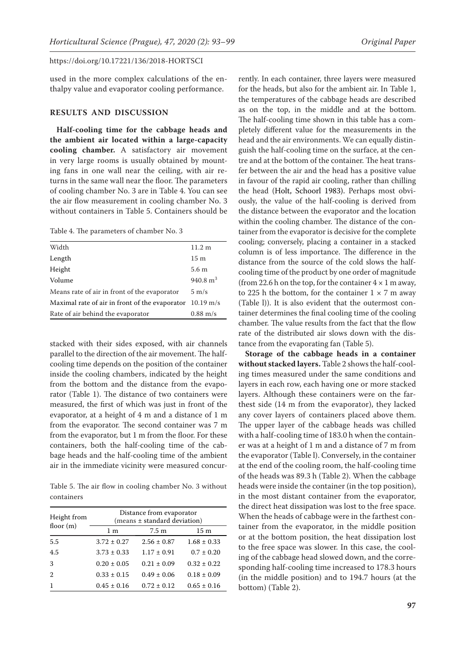used in the more complex calculations of the enthalpy value and evaporator cooling performance.

# **RESULTS AND DISCUSSION**

**Half-cooling time for the cabbage heads and the ambient air located within a large-capacity cooling chamber.** A satisfactory air movement in very large rooms is usually obtained by mounting fans in one wall near the ceiling, with air returns in the same wall near the floor. The parameters of cooling chamber No. 3 are in Table 4. You can see the air flow measurement in cooling chamber No. 3 without containers in Table 5. Containers should be

Table 4. The parameters of chamber No. 3

| Width                                          | 11.2 m              |
|------------------------------------------------|---------------------|
| Length                                         | 15 <sub>m</sub>     |
| Height                                         | 5.6 <sub>m</sub>    |
| Volume                                         | 940.8 $m3$          |
| Means rate of air in front of the evaporator   | $5 \text{ m/s}$     |
| Maximal rate of air in front of the evaporator | $10.19 \text{ m/s}$ |
| Rate of air behind the evaporator              | $0.88 \text{ m/s}$  |
|                                                |                     |

stacked with their sides exposed, with air channels parallel to the direction of the air movement. The halfcooling time depends on the position of the container inside the cooling chambers, indicated by the height from the bottom and the distance from the evaporator (Table 1). The distance of two containers were measured, the first of which was just in front of the evaporator, at a height of 4 m and a distance of 1 m from the evaporator. The second container was 7 m from the evaporator, but 1 m from the floor. For these containers, both the half-cooling time of the cabbage heads and the half-cooling time of the ambient air in the immediate vicinity were measured concur-

Table 5. The air flow in cooling chamber No. 3 without containers

| Height from<br>floor $(m)$    | Distance from evaporator<br>(means ± standard deviation) |                 |                 |  |
|-------------------------------|----------------------------------------------------------|-----------------|-----------------|--|
|                               | 1 <sub>m</sub>                                           | $7.5 \text{ m}$ | 15 m            |  |
| 5.5                           | $3.72 \pm 0.27$                                          | $2.56 \pm 0.87$ | $1.68 \pm 0.33$ |  |
| 4.5                           | $3.73 \pm 0.33$                                          | $1.17 \pm 0.91$ | $0.7 \pm 0.20$  |  |
| 3                             | $0.20 \pm 0.05$                                          | $0.21 \pm 0.09$ | $0.32 \pm 0.22$ |  |
| $\mathfrak{D}_{\mathfrak{p}}$ | $0.33 \pm 0.15$                                          | $0.49 \pm 0.06$ | $0.18 \pm 0.09$ |  |
| 1                             | $0.45 \pm 0.16$                                          | $0.72 \pm 0.12$ | $0.65 \pm 0.16$ |  |

rently. In each container, three layers were measured for the heads, but also for the ambient air. In Table 1, the temperatures of the cabbage heads are described as on the top, in the middle and at the bottom. The half-cooling time shown in this table has a completely different value for the measurements in the head and the air environments. We can equally distinguish the half-cooling time on the surface, at the centre and at the bottom of the container. The heat transfer between the air and the head has a positive value in favour of the rapid air cooling, rather than chilling the head (Holt, Schoorl 1983). Perhaps most obviously, the value of the half-cooling is derived from the distance between the evaporator and the location within the cooling chamber. The distance of the container from the evaporator is decisive for the complete cooling; conversely, placing a container in a stacked column is of less importance. The difference in the distance from the source of the cold slows the halfcooling time of the product by one order of magnitude (from 22.6 h on the top, for the container  $4 \times 1$  m away, to 225 h the bottom, for the container  $1 \times 7$  m away (Table l)). It is also evident that the outermost container determines the final cooling time of the cooling chamber. The value results from the fact that the flow rate of the distributed air slows down with the distance from the evaporating fan (Table 5).

**Storage of the cabbage heads in a container without stacked layers.** Table 2 shows the half-cooling times measured under the same conditions and layers in each row, each having one or more stacked layers. Although these containers were on the farthest side (14 m from the evaporator), they lacked any cover layers of containers placed above them. The upper layer of the cabbage heads was chilled with a half-cooling time of 183.0 h when the container was at a height of 1 m and a distance of 7 m from the evaporator (Table l). Conversely, in the container at the end of the cooling room, the half-cooling time of the heads was 89.3 h (Table 2). When the cabbage heads were inside the container (in the top position), in the most distant container from the evaporator, the direct heat dissipation was lost to the free space. When the heads of cabbage were in the farthest container from the evaporator, in the middle position or at the bottom position, the heat dissipation lost to the free space was slower. In this case, the cooling of the cabbage head slowed down, and the corresponding half-cooling time increased to 178.3 hours (in the middle position) and to 194.7 hours (at the bottom) (Table 2).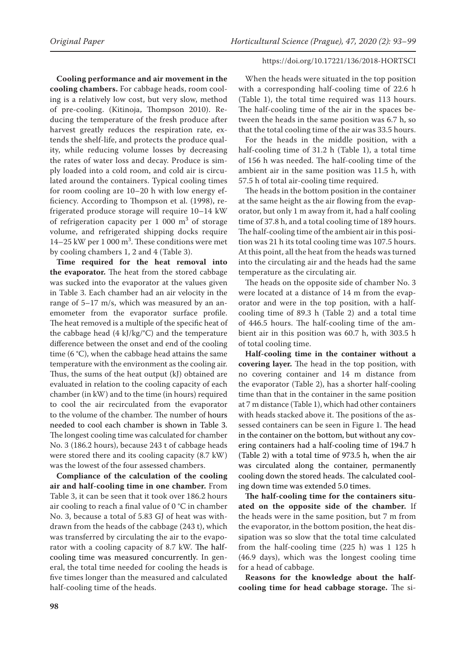**Cooling performance and air movement in the cooling chambers.** For cabbage heads, room cooling is a relatively low cost, but very slow, method of pre-cooling. (Kitinoja, Thompson 2010). Reducing the temperature of the fresh produce after harvest greatly reduces the respiration rate, extends the shelf-life, and protects the produce quality, while reducing volume losses by decreasing the rates of water loss and decay. Produce is simply loaded into a cold room, and cold air is circulated around the containers. Typical cooling times for room cooling are 10–20 h with low energy efficiency. According to Thompson et al. (1998), refrigerated produce storage will require 10–14 kW of refrigeration capacity per  $1\,000\,$  m<sup>3</sup> of storage volume, and refrigerated shipping docks require  $14-25$  kW per 1 000 m<sup>3</sup>. These conditions were met by cooling chambers 1, 2 and 4 (Table 3).

**Time required for the heat removal into the evaporator.** The heat from the stored cabbage was sucked into the evaporator at the values given in Table 3. Each chamber had an air velocity in the range of 5–17 m/s, which was measured by an anemometer from the evaporator surface profile. The heat removed is a multiple of the specific heat of the cabbage head  $(4 \text{ kJ/kg}^{\circ}C)$  and the temperature difference between the onset and end of the cooling time (6 °C), when the cabbage head attains the same temperature with the environment as the cooling air. Thus, the sums of the heat output (kJ) obtained are evaluated in relation to the cooling capacity of each chamber (in kW) and to the time (in hours) required to cool the air recirculated from the evaporator to the volume of the chamber. The number of hours needed to cool each chamber is shown in Table 3. The longest cooling time was calculated for chamber No. 3 (186.2 hours), because 243 t of cabbage heads were stored there and its cooling capacity (8.7 kW) was the lowest of the four assessed chambers.

**Compliance of the calculation of the cooling air and half-cooling time in one chamber.** From Table 3, it can be seen that it took over 186.2 hours air cooling to reach a final value of 0 °C in chamber No. 3, because a total of 5.83 GJ of heat was withdrawn from the heads of the cabbage (243 t), which was transferred by circulating the air to the evaporator with a cooling capacity of 8.7 kW. The halfcooling time was measured concurrently. In general, the total time needed for cooling the heads is five times longer than the measured and calculated half-cooling time of the heads.

When the heads were situated in the top position with a corresponding half-cooling time of 22.6 h (Table 1), the total time required was 113 hours. The half-cooling time of the air in the spaces between the heads in the same position was 6.7 h, so that the total cooling time of the air was 33.5 hours.

For the heads in the middle position, with a half-cooling time of 31.2 h (Table 1), a total time of 156 h was needed. The half-cooling time of the ambient air in the same position was 11.5 h, with 57.5 h of total air-cooling time required.

The heads in the bottom position in the container at the same height as the air flowing from the evaporator, but only 1 m away from it, had a half cooling time of 37.8 h, and a total cooling time of 189 hours. The half-cooling time of the ambient air in this position was 21 h its total cooling time was 107.5 hours. At this point, all the heat from the heads was turned into the circulating air and the heads had the same temperature as the circulating air.

The heads on the opposite side of chamber No. 3 were located at a distance of 14 m from the evaporator and were in the top position, with a halfcooling time of 89.3 h (Table 2) and a total time of 446.5 hours. The half-cooling time of the ambient air in this position was 60.7 h, with 303.5 h of total cooling time.

**Half-cooling time in the container without a covering layer.** The head in the top position, with no covering container and 14 m distance from the evaporator (Table 2), has a shorter half-cooling time than that in the container in the same position at 7 m distance (Table 1), which had other containers with heads stacked above it. The positions of the assessed containers can be seen in Figure 1. The head in the container on the bottom, but without any covering containers had a half-cooling time of 194.7 h (Table 2) with a total time of 973.5 h, when the air was circulated along the container, permanently cooling down the stored heads. The calculated cooling down time was extended 5.0 times.

**The half-cooling time for the containers situated on the opposite side of the chamber.** If the heads were in the same position, but 7 m from the evaporator, in the bottom position, the heat dissipation was so slow that the total time calculated from the half-cooling time (225 h) was 1 125 h (46.9 days), which was the longest cooling time for a head of cabbage.

**Reasons for the knowledge about the halfcooling time for head cabbage storage.** The si